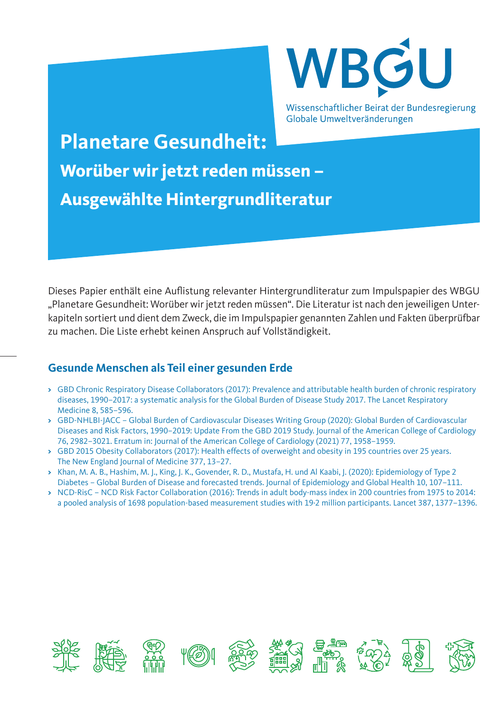

Wissenschaftlicher Beirat der Bundesregierung Globale Umweltveränderungen

**Planetare Gesundheit: Worüber wir jetzt reden müssen – Ausgewählte Hintergrundliteratur** 

Dieses Papier enthält eine Auflistung relevanter Hintergrundliteratur zum Impulspapier des WBGU "Planetare Gesundheit: Worüber wir jetzt reden müssen". Die Literatur ist nach den jeweiligen Unterkapiteln sortiert und dient dem Zweck, die im Impulspapier genannten Zahlen und Fakten überprüfbar zu machen. Die Liste erhebt keinen Anspruch auf Vollständigkeit.

## **Gesunde Menschen als Teil einer gesunden Erde**

- **>** GBD Chronic Respiratory Disease Collaborators (2017): Prevalence and attributable health burden of chronic respiratory diseases, 1990–2017: a systematic analysis for the Global Burden of Disease Study 2017. The Lancet Respiratory Medicine 8, 585–596.
- **>** GBD-NHLBI-JACC Global Burden of Cardiovascular Diseases Writing Group (2020): Global Burden of Cardiovascular Diseases and Risk Factors, 1990–2019: Update From the GBD 2019 Study. Journal of the American College of Cardiology 76, 2982–3021. Erratum in: Journal of the American College of Cardiology (2021) 77, 1958–1959.
- **>** GBD 2015 Obesity Collaborators (2017): Health effects of overweight and obesity in 195 countries over 25 years. The New England Journal of Medicine 377, 13–27.
- **>** Khan, M. A. B., Hashim, M. J., King, J. K., Govender, R. D., Mustafa, H. und Al Kaabi, J. (2020): Epidemiology of Type 2 Diabetes – Global Burden of Disease and forecasted trends. Journal of Epidemiology and Global Health 10, 107–111.
- **>** NCD-RisC NCD Risk Factor Collaboration (2016): Trends in adult body-mass index in 200 countries from 1975 to 2014: a pooled analysis of 1698 population-based measurement studies with 19·2 million participants. Lancet 387, 1377–1396.

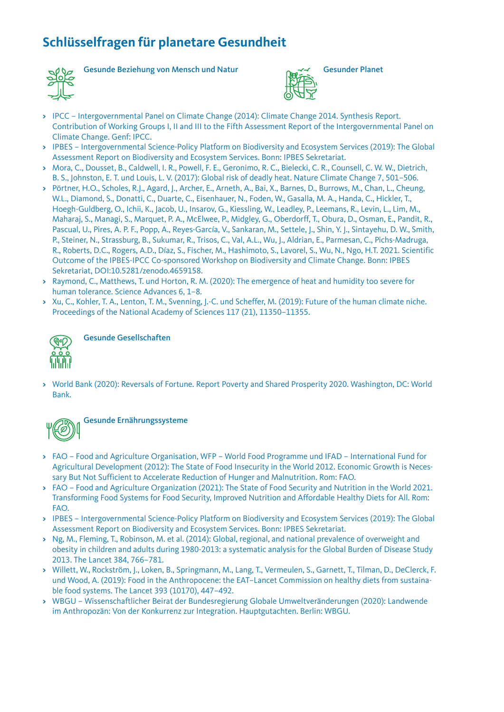# **Schlüsselfragen für planetare Gesundheit**



Gesunde Beziehung von Mensch und Natur



#### Gesunder Planet

- **>** IPCC Intergovernmental Panel on Climate Change (2014): Climate Change 2014. Synthesis Report. Contribution of Working Groups I, II and III to the Fifth Assessment Report of the Intergovernmental Panel on Climate Change. Genf: IPCC.
- **>** IPBES Intergovernmental Science-Policy Platform on Biodiversity and Ecosystem Services (2019): The Global Assessment Report on Biodiversity and Ecosystem Services. Bonn: IPBES Sekretariat.
- **>** Mora, C., Dousset, B., Caldwell, I. R., Powell, F. E., Geronimo, R. C., Bielecki, C. R., Counsell, C. W. W., Dietrich, B. S., Johnston, E. T. und Louis, L. V. (2017): Global risk of deadly heat. Nature Climate Change 7, 501–506.
- **>** Pörtner, H.O., Scholes, R.J., Agard, J., Archer, E., Arneth, A., Bai, X., Barnes, D., Burrows, M., Chan, L., Cheung, W.L., Diamond, S., Donatti, C., Duarte, C., Eisenhauer, N., Foden, W., Gasalla, M. A., Handa, C., Hickler, T., Hoegh-Guldberg, O., Ichii, K., Jacob, U., Insarov, G., Kiessling, W., Leadley, P., Leemans, R., Levin, L., Lim, M., Maharaj, S., Managi, S., Marquet, P. A., McElwee, P., Midgley, G., Oberdorff, T., Obura, D., Osman, E., Pandit, R., Pascual, U., Pires, A. P. F., Popp, A., Reyes-García, V., Sankaran, M., Settele, J., Shin, Y. J., Sintayehu, D. W., Smith, P., Steiner, N., Strassburg, B., Sukumar, R., Trisos, C., Val, A.L., Wu, J., Aldrian, E., Parmesan, C., Pichs-Madruga, R., Roberts, D.C., Rogers, A.D., Díaz, S., Fischer, M., Hashimoto, S., Lavorel, S., Wu, N., Ngo, H.T. 2021. Scientific Outcome of the IPBES-IPCC Co-sponsored Workshop on Biodiversity and Climate Change. Bonn: IPBES Sekretariat, DOI:10.5281/zenodo.4659158.
- **>** Raymond, C., Matthews, T. und Horton, R. M. (2020): The emergence of heat and humidity too severe for human tolerance. Science Advances 6, 1–8.
- **>** Xu, C., Kohler, T. A., Lenton, T. M., Svenning, J.-C. und Scheffer, M. (2019): Future of the human climate niche. Proceedings of the National Academy of Sciences 117 (21), 11350–11355.



## Gesunde Gesellschaften

**>** World Bank (2020): Reversals of Fortune. Report Poverty and Shared Prosperity 2020. Washington, DC: World Bank.



### Gesunde Ernährungssysteme

- **>** FAO Food and Agriculture Organisation, WFP World Food Programme und IFAD International Fund for Agricultural Development (2012): The State of Food Insecurity in the World 2012. Economic Growth is Necessary But Not Sufficient to Accelerate Reduction of Hunger and Malnutrition. Rom: FAO.
- **>** FAO Food and Agriculture Organization (2021): The State of Food Security and Nutrition in the World 2021. Transforming Food Systems for Food Security, Improved Nutrition and Affordable Healthy Diets for All. Rom: FAO.
- **>** IPBES Intergovernmental Science-Policy Platform on Biodiversity and Ecosystem Services (2019): The Global Assessment Report on Biodiversity and Ecosystem Services. Bonn: IPBES Sekretariat.
- **>** Ng, M., Fleming, T., Robinson, M. et al. (2014): Global, regional, and national prevalence of overweight and obesity in children and adults during 1980-2013: a systematic analysis for the Global Burden of Disease Study 2013. The Lancet 384, 766–781.
- **>** Willett, W., Rockström, J., Loken, B., Springmann, M., Lang, T., Vermeulen, S., Garnett, T., Tilman, D., DeClerck, F. und Wood, A. (2019): Food in the Anthropocene: the EAT–Lancet Commission on healthy diets from sustainable food systems. The Lancet 393 (10170), 447–492.
- **>** WBGU Wissenschaftlicher Beirat der Bundesregierung Globale Umweltveränderungen (2020): Landwende im Anthropozän: Von der Konkurrenz zur Integration. Hauptgutachten. Berlin: WBGU.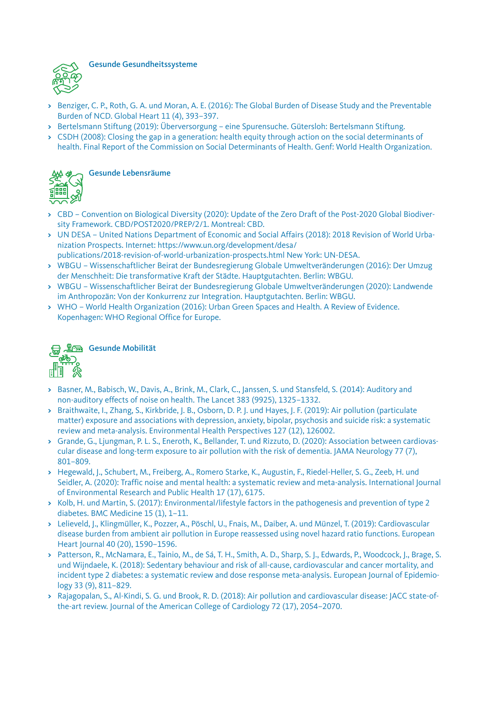Gesunde Gesundheitssysteme



- **>** Bertelsmann Stiftung (2019): Überversorgung eine Spurensuche. Gütersloh: Bertelsmann Stiftung.
- **>** CSDH (2008): Closing the gap in a generation: health equity through action on the social determinants of
- health. Final Report of the Commission on Social Determinants of Health. Genf: World Health Organization.



Gesunde Lebensräume

- **>** CBD Convention on Biological Diversity (2020): Update of the Zero Draft of the Post-2020 Global Biodiversity Framework. CBD/POST2020/PREP/2/1. Montreal: CBD.
- **>** UN DESA United Nations Department of Economic and Social Affairs (2018): 2018 Revision of World Urbanization Prospects. Internet: https://www.un.org/development/desa/ publications/2018-revision-of-world-urbanization-prospects.html New York: UN-DESA.
- **>** WBGU Wissenschaftlicher Beirat der Bundesregierung Globale Umweltveränderungen (2016): Der Umzug der Menschheit: Die transformative Kraft der Städte. Hauptgutachten. Berlin: WBGU.
- **>** WBGU Wissenschaftlicher Beirat der Bundesregierung Globale Umweltveränderungen (2020): Landwende im Anthropozän: Von der Konkurrenz zur Integration. Hauptgutachten. Berlin: WBGU.
- **>** WHO World Health Organization (2016): Urban Green Spaces and Health. A Review of Evidence. Kopenhagen: WHO Regional Office for Europe.



- **>** Basner, M., Babisch, W., Davis, A., Brink, M., Clark, C., Janssen, S. und Stansfeld, S. (2014): Auditory and non-auditory effects of noise on health. The Lancet 383 (9925), 1325–1332.
- **>** Braithwaite, I., Zhang, S., Kirkbride, J. B., Osborn, D. P. J. und Hayes, J. F. (2019): Air pollution (particulate matter) exposure and associations with depression, anxiety, bipolar, psychosis and suicide risk: a systematic review and meta-analysis. Environmental Health Perspectives 127 (12), 126002.
- **>** Grande, G., Ljungman, P. L. S., Eneroth, K., Bellander, T. und Rizzuto, D. (2020): Association between cardiovascular disease and long-term exposure to air pollution with the risk of dementia. JAMA Neurology 77 (7), 801–809.
- **>** Hegewald, J., Schubert, M., Freiberg, A., Romero Starke, K., Augustin, F., Riedel-Heller, S. G., Zeeb, H. und Seidler, A. (2020): Traffic noise and mental health: a systematic review and meta-analysis. International Journal of Environmental Research and Public Health 17 (17), 6175.
- **>** Kolb, H. und Martin, S. (2017): Environmental/lifestyle factors in the pathogenesis and prevention of type 2 diabetes. BMC Medicine 15 (1), 1–11.
- **>** Lelieveld, J., Klingmüller, K., Pozzer, A., Pöschl, U., Fnais, M., Daiber, A. und Münzel, T. (2019): Cardiovascular disease burden from ambient air pollution in Europe reassessed using novel hazard ratio functions. European Heart Journal 40 (20), 1590–1596.
- **>** Patterson, R., McNamara, E., Tainio, M., de Sá, T. H., Smith, A. D., Sharp, S. J., Edwards, P., Woodcock, J., Brage, S. und Wijndaele, K. (2018): Sedentary behaviour and risk of all-cause, cardiovascular and cancer mortality, and incident type 2 diabetes: a systematic review and dose response meta-analysis. European Journal of Epidemiology 33 (9), 811–829.
- **>** Rajagopalan, S., Al-Kindi, S. G. und Brook, R. D. (2018): Air pollution and cardiovascular disease: JACC state-ofthe-art review. Journal of the American College of Cardiology 72 (17), 2054–2070.